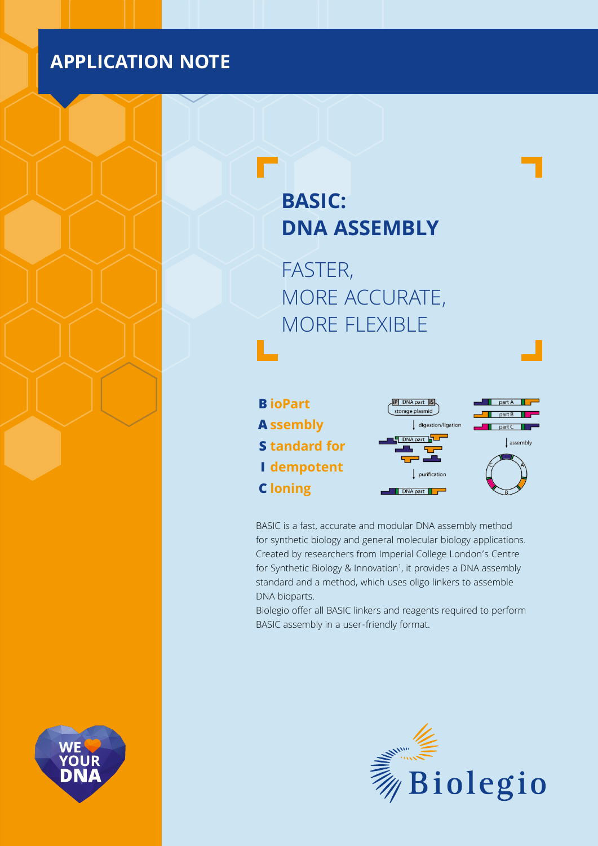## **APPLICATION NOTE**

# **BASIC: DNA ASSEMBLY**

FASTER, MORE ACCURATE, MORE FLEXIBLE





BASIC is a fast, accurate and modular DNA assembly method for synthetic biology and general molecular biology applications. Created by researchers from Imperial College London's Centre for Synthetic Biology & Innovation<sup>1</sup>, it provides a DNA assembly standard and a method, which uses oligo linkers to assemble DNA bioparts.

Biolegio offer all BASIC linkers and reagents required to perform BASIC assembly in a user-friendly format.



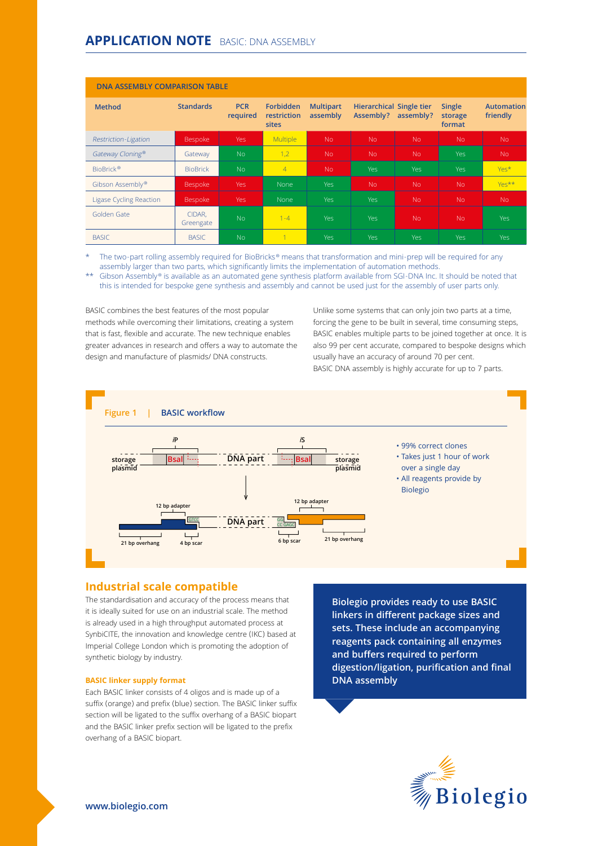| <b>DNA ASSEMBLY COMPARISON TABLE</b> |                     |                        |                                                 |                              |                                              |            |                                    |                               |  |
|--------------------------------------|---------------------|------------------------|-------------------------------------------------|------------------------------|----------------------------------------------|------------|------------------------------------|-------------------------------|--|
| <b>Method</b>                        | <b>Standards</b>    | <b>PCR</b><br>required | <b>Forbidden</b><br>restriction<br><b>sites</b> | <b>Multipart</b><br>assembly | <b>Hierarchical Single tier</b><br>Assembly? | assembly?  | <b>Single</b><br>storage<br>format | <b>Automation</b><br>friendly |  |
| Restriction-Ligation                 | <b>Bespoke</b>      | Yes                    | Multiple                                        | No.                          | <b>No</b>                                    | <b>No</b>  | No.                                | N <sub>o</sub>                |  |
| Gateway Cloning®                     | Gateway             | N <sub>o</sub>         | 1,2                                             | No.                          | <b>No</b>                                    | <b>No</b>  | <b>Yes</b>                         | N <sub>o</sub>                |  |
| BioBrick <sup>®</sup>                | <b>BioBrick</b>     | No                     | $\overline{4}$                                  | No.                          | Yes                                          | <b>Yes</b> | Yes                                | Yes*                          |  |
| Gibson Assembly <sup>®</sup>         | Bespoke             | <b>Yes</b>             | None                                            | Yes                          | <b>No</b>                                    | <b>No</b>  | N <sub>o</sub>                     | Yes**                         |  |
| <b>Ligase Cycling Reaction</b>       | Bespoke             | <b>Yes</b>             | None                                            | Yes                          | Yes                                          | No.        | N <sub>o</sub>                     | N <sub>o</sub>                |  |
| Golden Gate                          | CIDAR,<br>Greengate | <b>No</b>              | $1 - 4$                                         | Yes                          | Yes                                          | No.        | No.                                | <b>Yes</b>                    |  |
| <b>BASIC</b>                         | <b>BASIC</b>        | No                     |                                                 | Yes                          | Yes                                          | <b>Yes</b> | Yes.                               | <b>Yes</b>                    |  |

The two-part rolling assembly required for BioBricks® means that transformation and mini-prep will be required for any assembly larger than two parts, which significantly limits the implementation of automation methods.

Gibson Assembly® is available as an automated gene synthesis platform available from SGI-DNA Inc. It should be noted that this is intended for bespoke gene synthesis and assembly and cannot be used just for the assembly of user parts only.

BASIC combines the best features of the most popular methods while overcoming their limitations, creating a system that is fast, flexible and accurate. The new technique enables greater advances in research and offers a way to automate the design and manufacture of plasmids/ DNA constructs.

Unlike some systems that can only join two parts at a time, forcing the gene to be built in several, time consuming steps, BASIC enables multiple parts to be joined together at once. It is also 99 per cent accurate, compared to bespoke designs which usually have an accuracy of around 70 per cent. BASIC DNA assembly is highly accurate for up to 7 parts.



## **Industrial scale compatible**

The standardisation and accuracy of the process means that it is ideally suited for use on an industrial scale. The method is already used in a high throughput automated process at SynbiCITE, the innovation and knowledge centre (IKC) based at Imperial College London which is promoting the adoption of synthetic biology by industry.

#### **BASIC linker supply format**

Each BASIC linker consists of 4 oligos and is made up of a suffix (orange) and prefix (blue) section. The BASIC linker suffix section will be ligated to the suffix overhang of a BASIC biopart and the BASIC linker prefix section will be ligated to the prefix overhang of a BASIC biopart.

**Biolegio provides ready to use BASIC linkers in different package sizes and sets. These include an accompanying reagents pack containing all enzymes and buffers required to perform digestion/ligation, purification and final DNA assembly**



**www.biolegio.com**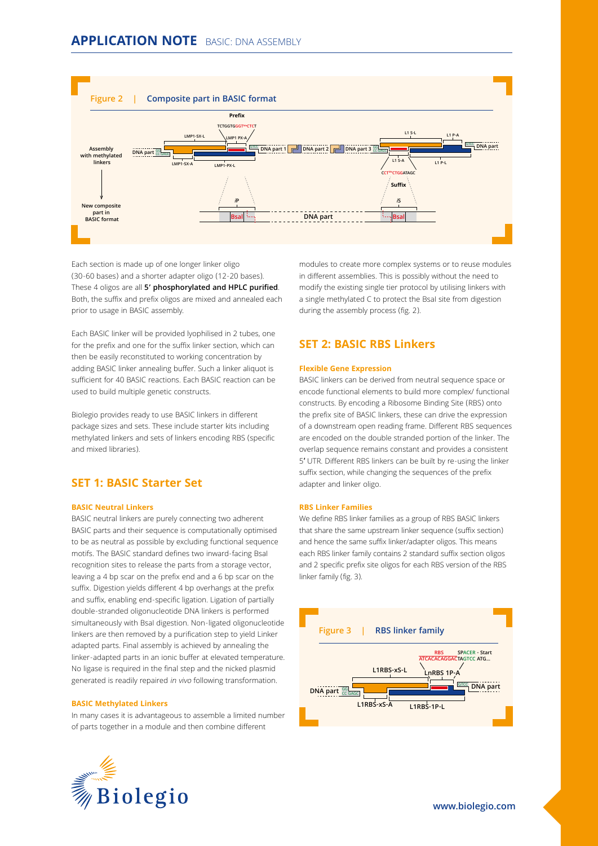

Each section is made up of one longer linker oligo (30-60 bases) and a shorter adapter oligo (12-20 bases). These 4 oligos are all **5' phosphorylated and HPLC purified**. Both, the suffix and prefix oligos are mixed and annealed each prior to usage in BASIC assembly.

Each BASIC linker will be provided lyophilised in 2 tubes, one for the prefix and one for the suffix linker section, which can then be easily reconstituted to working concentration by adding BASIC linker annealing buffer. Such a linker aliquot is sufficient for 40 BASIC reactions. Each BASIC reaction can be used to build multiple genetic constructs.

Biolegio provides ready to use BASIC linkers in different package sizes and sets. These include starter kits including methylated linkers and sets of linkers encoding RBS (specific and mixed libraries).

## **SET 1: BASIC Starter Set**

#### **BASIC Neutral Linkers**

BASIC neutral linkers are purely connecting two adherent BASIC parts and their sequence is computationally optimised to be as neutral as possible by excluding functional sequence motifs. The BASIC standard defines two inward-facing BsaI recognition sites to release the parts from a storage vector, leaving a 4 bp scar on the prefix end and a 6 bp scar on the suffix. Digestion yields different 4 bp overhangs at the prefix and suffix, enabling end-specific ligation. Ligation of partially double-stranded oligonucleotide DNA linkers is performed simultaneously with BsaI digestion. Non-ligated oligonucleotide linkers are then removed by a purification step to yield Linker adapted parts. Final assembly is achieved by annealing the linker-adapted parts in an ionic buffer at elevated temperature. No ligase is required in the final step and the nicked plasmid generated is readily repaired in vivo following transformation.

#### **BASIC Methylated Linkers**

In many cases it is advantageous to assemble a limited number of parts together in a module and then combine different



modules to create more complex systems or to reuse modules in different assemblies. This is possibly without the need to modify the existing single tier protocol by utilising linkers with a single methylated C to protect the BsaI site from digestion during the assembly process (fig. 2).

## **SET 2: BASIC RBS Linkers**

#### **Flexible Gene Expression**

BASIC linkers can be derived from neutral sequence space or encode functional elements to build more complex/ functional constructs. By encoding a Ribosome Binding Site (RBS) onto the prefix site of BASIC linkers, these can drive the expression of a downstream open reading frame. Different RBS sequences are encoded on the double stranded portion of the linker. The overlap sequence remains constant and provides a consistent 5′ UTR. Different RBS linkers can be built by re-using the linker suffix section, while changing the sequences of the prefix adapter and linker oligo.

#### **RBS Linker Families**

We define RBS linker families as a group of RBS BASIC linkers that share the same upstream linker sequence (suffix section) and hence the same suffix linker/adapter oligos. This means each RBS linker family contains 2 standard suffix section oligos and 2 specific prefix site oligos for each RBS version of the RBS linker family (fig. 3).